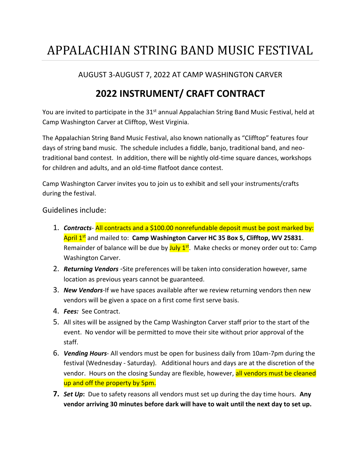## APPALACHIAN STRING BAND MUSIC FESTIVAL

#### AUGUST 3-AUGUST 7, 2022 AT CAMP WASHINGTON CARVER

### **2022 INSTRUMENT/ CRAFT CONTRACT**

You are invited to participate in the 31<sup>st</sup> annual Appalachian String Band Music Festival, held at Camp Washington Carver at Clifftop, West Virginia.

The Appalachian String Band Music Festival, also known nationally as "Clifftop" features four days of string band music. The schedule includes a fiddle, banjo, traditional band, and neotraditional band contest. In addition, there will be nightly old-time square dances, workshops for children and adults, and an old-time flatfoot dance contest.

Camp Washington Carver invites you to join us to exhibit and sell your instruments/crafts during the festival.

Guidelines include:

- 1. *Contracts* All contracts and a \$100.00 nonrefundable deposit must be post marked by: April 1st and mailed to: **Camp Washington Carver HC 35 Box 5, Clifftop, WV 25831**. Remainder of balance will be due by July 1<sup>st</sup>. Make checks or money order out to: Camp Washington Carver.
- 2. *Returning Vendors* -Site preferences will be taken into consideration however, same location as previous years cannot be guaranteed.
- 3. *New Vendors*-If we have spaces available after we review returning vendors then new vendors will be given a space on a first come first serve basis.
- 4. *Fees:* See Contract.
- 5. All sites will be assigned by the Camp Washington Carver staff prior to the start of the event. No vendor will be permitted to move their site without prior approval of the staff.
- 6. *Vending Hours* All vendors must be open for business daily from 10am-7pm during the festival (Wednesday - Saturday). Additional hours and days are at the discretion of the vendor. Hours on the closing Sunday are flexible, however, all vendors must be cleaned up and off the property by 5pm.
- **7.** *Set Up***:** Due to safety reasons all vendors must set up during the day time hours. **Any vendor arriving 30 minutes before dark will have to wait until the next day to set up.**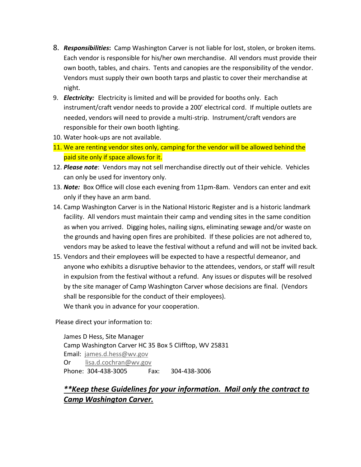- 8. *Responsibilities***:** Camp Washington Carver is not liable for lost, stolen, or broken items. Each vendor is responsible for his/her own merchandise. All vendors must provide their own booth, tables, and chairs. Tents and canopies are the responsibility of the vendor. Vendors must supply their own booth tarps and plastic to cover their merchandise at night.
- 9. *Electricity:* Electricity is limited and will be provided for booths only. Each instrument/craft vendor needs to provide a 200' electrical cord. If multiple outlets are needed, vendors will need to provide a multi-strip. Instrument/craft vendors are responsible for their own booth lighting.
- 10. Water hook-ups are not available.
- 11. We are renting vendor sites only, camping for the vendor will be allowed behind the paid site only if space allows for it.
- 12. *Please note*: Vendors may not sell merchandise directly out of their vehicle. Vehicles can only be used for inventory only.
- 13. *Note:* Box Office will close each evening from 11pm-8am. Vendors can enter and exit only if they have an arm band.
- 14. Camp Washington Carver is in the National Historic Register and is a historic landmark facility. All vendors must maintain their camp and vending sites in the same condition as when you arrived. Digging holes, nailing signs, eliminating sewage and/or waste on the grounds and having open fires are prohibited. If these policies are not adhered to, vendors may be asked to leave the festival without a refund and will not be invited back.
- 15. Vendors and their employees will be expected to have a respectful demeanor, and anyone who exhibits a disruptive behavior to the attendees, vendors, or staff will result in expulsion from the festival without a refund. Any issues or disputes will be resolved by the site manager of Camp Washington Carver whose decisions are final. (Vendors shall be responsible for the conduct of their employees). We thank you in advance for your cooperation.

Please direct your information to:

James D Hess, Site Manager Camp Washington Carver HC 35 Box 5 Clifftop, WV 25831 Email: [james.d.hess@wv.gov](mailto:james.d.hess@wv.gov) Or [lisa.d.cochran@wv.gov](mailto:lisa.d.cochran@wv.gov) Phone: 304-438-3005 Fax: 304-438-3006

#### *\*\*Keep these Guidelines for your information. Mail only the contract to Camp Washington Carver.*